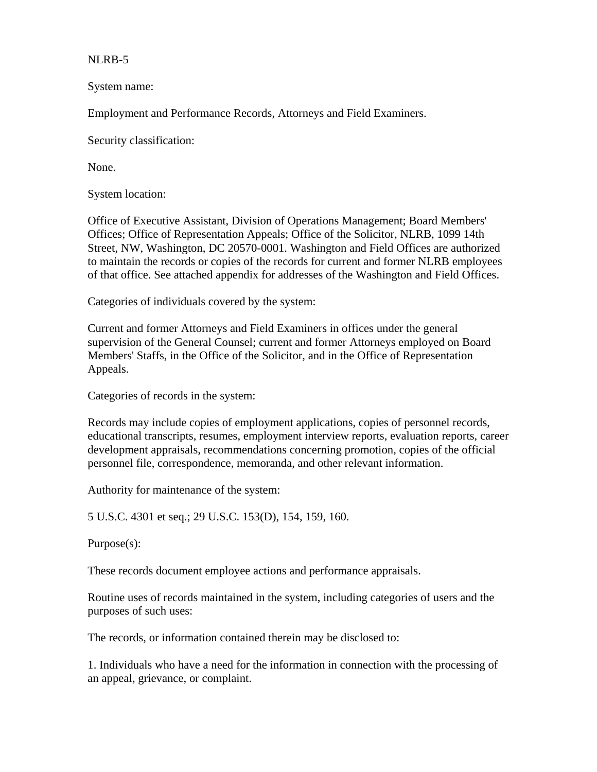NLRB-5

System name:

Employment and Performance Records, Attorneys and Field Examiners.

Security classification:

None.

System location:

Office of Executive Assistant, Division of Operations Management; Board Members' Offices; Office of Representation Appeals; Office of the Solicitor, NLRB, 1099 14th Street, NW, Washington, DC 20570-0001. Washington and Field Offices are authorized to maintain the records or copies of the records for current and former NLRB employees of that office. See attached appendix for addresses of the Washington and Field Offices.

Categories of individuals covered by the system:

Current and former Attorneys and Field Examiners in offices under the general supervision of the General Counsel; current and former Attorneys employed on Board Members' Staffs, in the Office of the Solicitor, and in the Office of Representation Appeals.

Categories of records in the system:

Records may include copies of employment applications, copies of personnel records, educational transcripts, resumes, employment interview reports, evaluation reports, career development appraisals, recommendations concerning promotion, copies of the official personnel file, correspondence, memoranda, and other relevant information.

Authority for maintenance of the system:

5 U.S.C. 4301 et seq.; 29 U.S.C. 153(D), 154, 159, 160.

Purpose(s):

These records document employee actions and performance appraisals.

Routine uses of records maintained in the system, including categories of users and the purposes of such uses:

The records, or information contained therein may be disclosed to:

1. Individuals who have a need for the information in connection with the processing of an appeal, grievance, or complaint.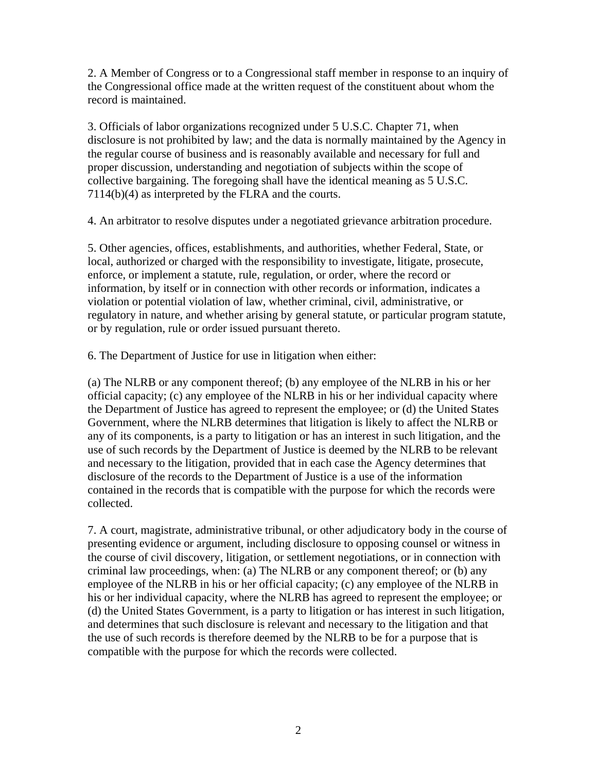2. A Member of Congress or to a Congressional staff member in response to an inquiry of the Congressional office made at the written request of the constituent about whom the record is maintained.

3. Officials of labor organizations recognized under 5 U.S.C. Chapter 71, when disclosure is not prohibited by law; and the data is normally maintained by the Agency in the regular course of business and is reasonably available and necessary for full and proper discussion, understanding and negotiation of subjects within the scope of collective bargaining. The foregoing shall have the identical meaning as 5 U.S.C. 7114(b)(4) as interpreted by the FLRA and the courts.

4. An arbitrator to resolve disputes under a negotiated grievance arbitration procedure.

5. Other agencies, offices, establishments, and authorities, whether Federal, State, or local, authorized or charged with the responsibility to investigate, litigate, prosecute, enforce, or implement a statute, rule, regulation, or order, where the record or information, by itself or in connection with other records or information, indicates a violation or potential violation of law, whether criminal, civil, administrative, or regulatory in nature, and whether arising by general statute, or particular program statute, or by regulation, rule or order issued pursuant thereto.

6. The Department of Justice for use in litigation when either:

(a) The NLRB or any component thereof; (b) any employee of the NLRB in his or her official capacity; (c) any employee of the NLRB in his or her individual capacity where the Department of Justice has agreed to represent the employee; or (d) the United States Government, where the NLRB determines that litigation is likely to affect the NLRB or any of its components, is a party to litigation or has an interest in such litigation, and the use of such records by the Department of Justice is deemed by the NLRB to be relevant and necessary to the litigation, provided that in each case the Agency determines that disclosure of the records to the Department of Justice is a use of the information contained in the records that is compatible with the purpose for which the records were collected.

7. A court, magistrate, administrative tribunal, or other adjudicatory body in the course of presenting evidence or argument, including disclosure to opposing counsel or witness in the course of civil discovery, litigation, or settlement negotiations, or in connection with criminal law proceedings, when: (a) The NLRB or any component thereof; or (b) any employee of the NLRB in his or her official capacity; (c) any employee of the NLRB in his or her individual capacity, where the NLRB has agreed to represent the employee; or (d) the United States Government, is a party to litigation or has interest in such litigation, and determines that such disclosure is relevant and necessary to the litigation and that the use of such records is therefore deemed by the NLRB to be for a purpose that is compatible with the purpose for which the records were collected.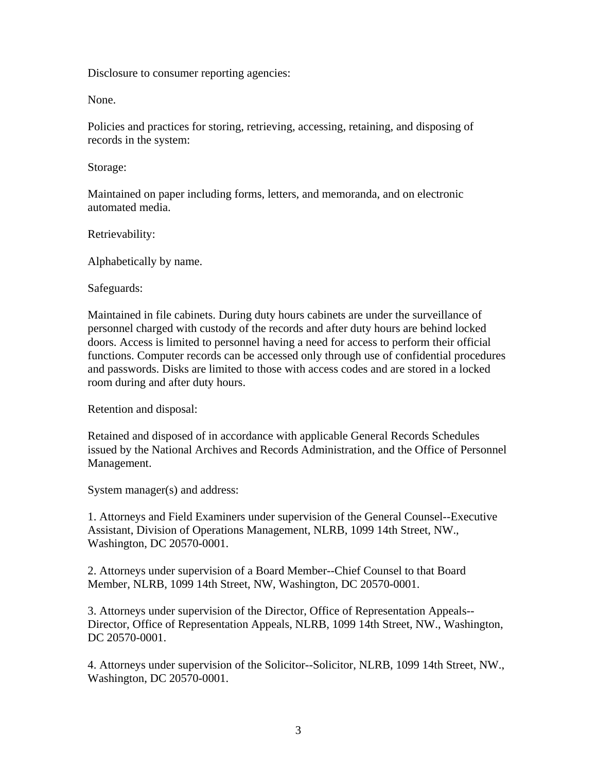Disclosure to consumer reporting agencies:

None.

Policies and practices for storing, retrieving, accessing, retaining, and disposing of records in the system:

Storage:

Maintained on paper including forms, letters, and memoranda, and on electronic automated media.

Retrievability:

Alphabetically by name.

Safeguards:

Maintained in file cabinets. During duty hours cabinets are under the surveillance of personnel charged with custody of the records and after duty hours are behind locked doors. Access is limited to personnel having a need for access to perform their official functions. Computer records can be accessed only through use of confidential procedures and passwords. Disks are limited to those with access codes and are stored in a locked room during and after duty hours.

Retention and disposal:

Retained and disposed of in accordance with applicable General Records Schedules issued by the National Archives and Records Administration, and the Office of Personnel Management.

System manager(s) and address:

1. Attorneys and Field Examiners under supervision of the General Counsel--Executive Assistant, Division of Operations Management, NLRB, 1099 14th Street, NW., Washington, DC 20570-0001.

2. Attorneys under supervision of a Board Member--Chief Counsel to that Board Member, NLRB, 1099 14th Street, NW, Washington, DC 20570-0001.

3. Attorneys under supervision of the Director, Office of Representation Appeals-- Director, Office of Representation Appeals, NLRB, 1099 14th Street, NW., Washington, DC 20570-0001.

4. Attorneys under supervision of the Solicitor--Solicitor, NLRB, 1099 14th Street, NW., Washington, DC 20570-0001.